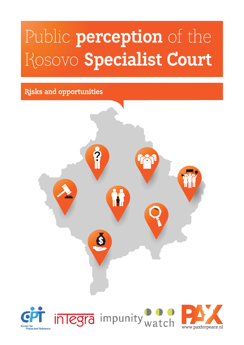## Public **perception** of the Kosovo **Specialist Court**

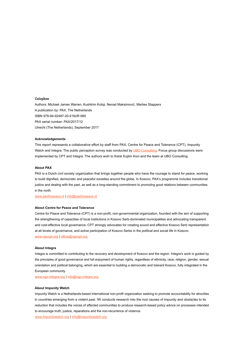#### **Colophon**

Authors: Michael James Warren, Kushtrim Koliqi, Nenad Maksimović, Marlies Stappers A publication by: PAX, The Netherlands ISBN 978-94-92487-20-9 NUR 689 PAX serial number: PAX/2017/12 Utrecht (The Netherlands), September 2017

#### **Acknowledgements**

This report represents a collaborative effort by staff from PAX, Centre for Peace and Tolerance (CPT), Impunity Watch and Integra. The public perception survey was conducted by [UBO Consulting.](http://www.uboconsulting.com/) Focus group discussions were implemented by CPT and Integra. The authors wish to thank Kujtim Koci and the team at UBO Consulting.

#### **About PAX**

PAX is a Dutch civil society organization that brings together people who have the courage to stand for peace, working to build dignified, democratic and peaceful societies around the globe. In Kosovo, PAX's programme includes transitional justice and dealing with the past, as well as a long-standing commitment to promoting good relations between communities in the north.

[www.paxforpeace.nl](http://www.paxforpeace.nl) | [info@paxforpeace.nl](mailto:info@paxforpeace.nl)

#### **About Centre for Peace and Tolerance**

Centre for Peace and Tolerance (CPT) is a non-profit, non-governmental organization, founded with the aim of supporting the strengthening of capacities of local institutions in Kosovo Serb-dominated municipalities and advocating transparent and cost-effective local governance. CPT strongly advocates for creating sound and effective Kosovo Serb representation at all levels of governance, and active participation of Kosovo Serbs in the political and social life in Kosovo. [www.ngocpt.org](http://www.ngocpt.org) | [office@ngocpt.org](mailto:office@ngocpt.org)

#### **About Integra**

Integra is committed to contributing to the recovery and development of Kosovo and the region. Integra's work is guided by the principles of good governance and full enjoyment of human rights, regardless of ethnicity, race, religion, gender, sexual orientation and political belonging, which are essential to building a democratic and tolerant Kosovo, fully integrated in the European community.

[www.ngo-integra.org](http://www.ngo-integra.org) | [info@ngo-integra.org](mailto:info@ngo-integra.org)

#### **About Impunity Watch**

Impunity Watch is a Netherlands-based international non-profit organization seeking to promote accountability for atrocities in countries emerging from a violent past. IW conducts research into the root causes of impunity and obstacles to its reduction that includes the voices of affected communities to produce research-based policy advice on processes intended to encourage truth, justice, reparations and the non-recurrence of violence.

[www.impunitywatch.org](http://www.impunitywatch.org) | [info@impunitywatch.org](mailto:info@impunitywatch.org)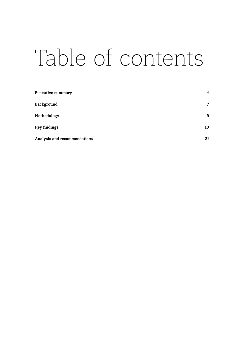# Table of contents

| <b>Executive summary</b>     | 4  |  |
|------------------------------|----|--|
| Background                   | 7  |  |
| Methodology                  | 9  |  |
| <b>Rey findings</b>          | 10 |  |
| Analysis and recommendations | 21 |  |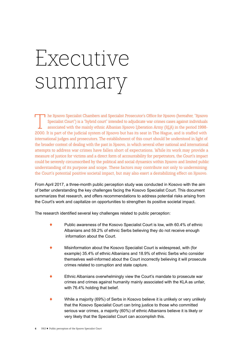# <span id="page-3-0"></span>Executive summary

T he Kosovo Specialist Chambers and Specialist Prosecutor's Office for Kosovo (hereafter, "Rosovo"<br>Specialist Court") is a "hybrid court" intended to adjudicate war crimes cases against individuals<br>associated with the main Specialist Court") is a "hybrid court" intended to adjudicate war crimes cases against individuals associated with the mainly ethnic Albanian Kosovo Liberation Army (KLA) in the period 1998- 2000. It is part of the judicial system of Kosovo but has its seat in The Hague, and is staffed with international judges and prosecutors. The establishment of this court should be understood in light of the broader context of dealing with the past in Kosovo, in which several other national and international attempts to address war crimes have fallen short of expectations. While its work may provide a measure of justice for victims and a direct form of accountability for perpetrators, the Court's impact could be severely circumscribed by the political and social dynamics within Kosovo and limited public understanding of its purpose and scope. These factors may contribute not only to undermining the Court's potential positive societal impact, but may also exert a destabilizing effect on Kosovo.

From April 2017, a three-month public perception study was conducted in Kosovo with the aim of better understanding the key challenges facing the Kosovo Specialist Court. This document summarizes that research, and offers recommendations to address potential risks arising from the Court's work and capitalize on opportunities to strengthen its positive societal impact.

The research identified several key challenges related to public perception:

- ! Public awareness of the Kosovo Specialist Court is low, with 60.4% of ethnic Albanians and 59.2% of ethnic Serbs believing they do not receive enough information about the Court.
- ! Misinformation about the Kosovo Specialist Court is widespread, with (for example) 35.4% of ethnic Albanians and 18.9% of ethnic Serbs who consider themselves well-informed about the Court incorrectly believing it will prosecute crimes related to corruption and state capture.
- Ethnic Albanians overwhelmingly view the Court's mandate to prosecute war crimes and crimes against humanity mainly associated with the KLA as unfair, with 76.4% holding that belief.
- While a majority (69%) of Serbs in Kosovo believe it is unlikely or very unlikely that the Kosovo Specialist Court can bring justice to those who committed serious war crimes, a majority (60%) of ethnic Albanians believe it is likely or very likely that the Specialist Court can accomplish this.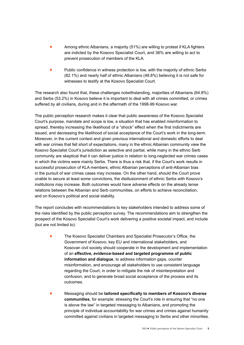- Among ethnic Albanians, a majority (51%) are willing to protest if KLA fighters are indicted by the Kosovo Specialist Court, and 36% are willing to act to prevent prosecution of members of the KLA.
- $\bullet$  Public confidence in witness protection is low, with the majority of ethnic Serbs (82.1%) and nearly half of ethnic Albanians (48.8%) believing it is not safe for witnesses to testify at the Kosovo Specialist Court.

The research also found that, these challenges notwithstanding, majorities of Albanians (64.8%) and Serbs (53.2%) in Kosovo believe it is important to deal with all crimes committed, or crimes suffered by all civilians, during and in the aftermath of the 1998-99 Kosovo war.

The public perception research makes it clear that public awareness of the Kosovo Specialist Court's purpose, mandate and scope is low, a situation that has enabled misinformation to spread, thereby increasing the likelihood of a "shock" effect when the first indictments are issued, and decreasing the likelihood of social acceptance of the Court's work in the long-term. Moreover, in the current context and given previous international and domestic efforts to deal with war crimes that fell short of expectations, many in the ethnic Albanian community view the Kosovo Specialist Court's jurisdiction as selective and partial, while many in the ethnic Serb community are skeptical that it can deliver justice in relation to long-neglected war crimes cases in which the victims were mainly Serbs. There is thus a risk that, if the Court's work results in successful prosecution of KLA members, ethnic Albanian perceptions of anti-Albanian bias in the pursuit of war crimes cases may increase. On the other hand, should the Court prove unable to secure at least some convictions, the disillusionment of ethnic Serbs with Kosovo's institutions may increase. Both outcomes would have adverse effects on the already tense relations between the Albanian and Serb communities, on efforts to achieve reconciliation, and on Kosovo's political and social stability.

The report concludes with recommendations to key stakeholders intended to address some of the risks identified by the public perception survey. The recommendations aim to strengthen the prospect of the Kosovo Specialist Court's work delivering a positive societal impact, and include (but are not limited to):

- ! The Kosovo Specialist Chambers and Specialist Prosecutor's Office, the Government of Kosovo, key EU and international stakeholders, and Kosovan civil society should cooperate in the development and implementation of an **effective, evidence-based and targeted programme of public information and dialogue**, to address information gaps, counter misinformation, and encourage all stakeholders to use consistent language regarding the Court, in order to mitigate the risk of misinterpretation and confusion, and to generate broad social acceptance of the process and its outcomes.
- ! Messaging should be **tailored specifically to members of Kosovo's diverse communities**, for example: stressing the Court's role in ensuring that "no one is above the law" in targeted messaging to Albanians, and promoting the principle of individual accountability for war crimes and crimes against humanity committed against civilians in targeted messaging to Serbs and other minorities.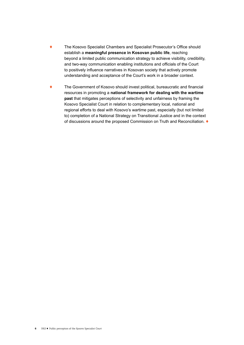- ! The Kosovo Specialist Chambers and Specialist Prosecutor's Office should establish a **meaningful presence in Kosovan public life**, reaching beyond a limited public communication strategy to achieve visibility, credibility, and two-way communication enabling institutions and officials of the Court to positively influence narratives in Kosovan society that actively promote understanding and acceptance of the Court's work in a broader context.
- ! The Government of Kosovo should invest political, bureaucratic and financial resources in promoting a **national framework for dealing with the wartime past** that mitigates perceptions of selectivity and unfairness by framing the Kosovo Specialist Court in relation to complementary local, national and regional efforts to deal with Kosovo's wartime past, especially (but not limited to) completion of a National Strategy on Transitional Justice and in the context of discussions around the proposed Commission on Truth and Reconciliation.  $\blacklozenge$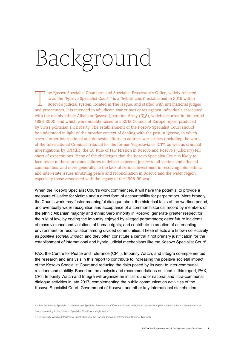# <span id="page-6-0"></span>Background

The Kosovo Specialist Chambers and Specialist Prosecutor's Office, widely referred<br>to as the "Rosovo Specialist Court<sup>1</sup>," is a "hybrid court" established in 2016 within<br>Rosovo's judicial system, located in The Hague, and to as the "Kosovo Specialist Court<sup>1</sup>," is a "hybrid court" established in 2016 within Kosovo's judicial system, located in The Hague, and staffed with international judges and prosecutors. It is intended to adjudicate war crimes cases against individuals associated with the mainly ethnic Albanian Kosovo Liberation Army (KLA), which occurred in the period 1998-2000, and which were notably raised in a 2012 Council of Europe report produced by Swiss politician Dick Marty. The establishment of the Kosovo Specialist Court should be understood in light of the broader context of dealing with the past in Kosovo, in which several other international and domestic efforts to address war crimes (including the work of the International Criminal Tribunal for the former Yugoslavia or ICTY, as well as criminal investigations by UNMIK, the EU Rule of Law Mission in Kosovo and Kosovo's judiciary) fell short of expectations. Many of the challenges that the Kosovo Specialist Court is likely to face relate to these previous failures to deliver expected justice to all victims and affected communities, and more generally, to the lack of serious investment in resolving inter-ethnic and inter-state issues inhibiting peace and reconciliation in Kosovo and the wider region, especially those associated with the legacy of the 1998-99 war.

When the Kosovo Specialist Court's work commences, it will have the potential to provide a measure of justice for victims and a direct form of accountability for perpetrators. More broadly, the Court's work may foster meaningful dialogue about the historical facts of the wartime period, and eventually wider recognition and acceptance of a common historical record by members of the ethnic Albanian majority and ethnic Serb minority in Kosovo; generate greater respect for the rule of law, by ending the impunity enjoyed by alleged perpetrators; deter future incidents of mass violence and violations of human rights; and contribute to creation of an enabling environment for reconciliation among divided communities. These effects are known collectively as *positive societal impact,* and they often constitute a central if not primary justification for the establishment of international and hybrid judicial mechanisms like the Kosovo Specialist Court<sup>2</sup>.

PAX, the Centre for Peace and Tolerance (CPT), Impunity Watch, and Integra co-implemented the research and analysis in this report to contribute to increasing the positive societal impact of the Kosovo Specialist Court and reducing the risks posed by its work to inter-communal relations and stability. Based on the analysis and recommendations outlined in this report, PAX, CPT, Impunity Watch and Integra will organize an initial round of national and intra-communal dialogue activities in late 2017, complementing the public communication activities of the Kosovo Specialist Court, Government of Kosovo, and other key international stakeholders,

1 While the Kosovo Specialist Chambers and Specialist Prosecutor's Office are discrete institutions, this report applies the terminology in common use in Kosovo, referring to the "Kosovo Specialist Court" as a single entity.

2 See Impunity Watch's 2013 Policy Brief [Enhancing the Societal Impact of International Criminal Tribunals](http://www.impunitywatch.org/docs/Policy_Brief_-_Enhancing_the_Societal_Impact_of_International_Criminal_Tribunals-1.pdf)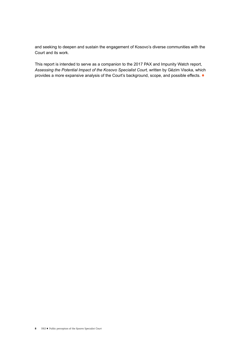and seeking to deepen and sustain the engagement of Kosovo's diverse communities with the Court and its work.

This report is intended to serve as a companion to the 2017 PAX and Impunity Watch report, *Assessing the Potential Impact of the Kosovo Specialist Court,* written by Gëzim Visoka, which provides a more expansive analysis of the Court's background, scope, and possible effects.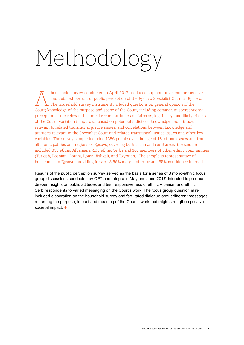# <span id="page-8-0"></span>Methodology

household survey conducted in April 2017 produced a quantitative, comprehensive<br>and detailed portrait of public perception of the Rosovo Specialist Court in Rosovo.<br>The household survey instrument included questions on gen and detailed portrait of public perception of the Kosovo Specialist Court in Kosovo. The household survey instrument included questions on general opinion of the Court; knowledge of the purpose and scope of the Court, including common misperceptions; perception of the relevant historical record; attitudes on fairness, legitimacy, and likely effects of the Court; variation in approval based on potential indictees; knowledge and attitudes relevant to related transitional justice issues; and correlations between knowledge and attitudes relevant to the Specialist Court and related transitional justice issues and other key variables. The survey sample included 1356 people over the age of 18, of both sexes and from all municipalities and regions of Kosovo, covering both urban and rural areas; the sample included 853 ethnic Albanians, 402 ethnic Serbs and 101 members of other ethnic communities (Turkish, Bosnian, Gorani, Roma, Ashkali, and Egyptian). The sample is representative of households in Kosovo, providing for a +- 2.66% margin of error at a 95% confidence interval.

Results of the public perception survey served as the basis for a series of 8 mono-ethnic focus group discussions conducted by CPT and Integra in May and June 2017, intended to produce deeper insights on public attitudes and test responsiveness of ethnic Albanian and ethnic Serb respondents to varied messaging on the Court's work. The focus group questionnaire included elaboration on the household survey and facilitated dialogue about different messages regarding the purpose, impact and meaning of the Court's work that might strengthen positive societal impact.  $\blacklozenge$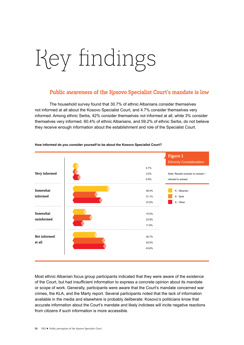# <span id="page-9-0"></span>Key findings

## **Public awareness of the Kosovo Specialist Court's mandate is low**

The household survey found that 30.7% of ethnic Albanians consider themselves not informed at all about the Kosovo Specialist Court, and 4.7% consider themselves very informed. Among ethnic Serbs, 42% consider themselves not informed at all, while 3% consider themselves very informed. 60.4% of ethnic Albanians, and 59.2% of ethnic Serbs, do not believe they receive enough information about the establishment and role of the Specialist Court.



#### **How informed do you consider yourself to be about the Kosovo Specialist Court?**

Most ethnic Albanian focus group participants indicated that they were aware of the existence of the Court, but had insufficient information to express a concrete opinion about its mandate or scope of work. Generally, participants were aware that the Court's mandate concerned war crimes, the KLA, and the Marty report. Several participants noted that the lack of information available in the media and elsewhere is probably deliberate: Kosovo's politicians know that accurate information about the Court's mandate and likely indictees will incite negative reactions from citizens if such information is more accessible.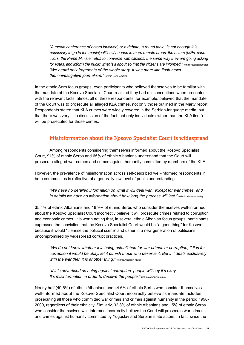*"A media conference of actors involved, or a debate, a round table, is not enough.It is necessary to go to the municipalities if needed in more remote areas, the actors (MPs, councilors, the Prime Minister, etc.) to converse with citizens, the same way they are going asking* for votes, and inform the public what is it about so that the citizens are informed." (ethnic Albanian female) *"We heard only fragments of the whole story. It was more like flash news then investigative journalism."* (ethnic Serb female)

In the ethnic Serb focus groups, even participants who believed themselves to be familiar with the mandate of the Kosovo Specialist Court realized they had misconceptions when presented with the relevant facts; almost all of these respondents, for example, believed that the mandate of the Court was to prosecute all alleged KLA crimes, not only those outlined in the Marty report. Respondents stated that KLA crimes were widely covered in the Serbian-language media, but that there was very little discussion of the fact that only individuals (rather than the KLA itself) will be prosecuted for those crimes.

## **Misinformation about the Kosovo Specialist Court is widespread**

Among respondents considering themselves informed about the Kosovo Specialist Court, 91% of ethnic Serbs and 65% of ethnic Albanians understand that the Court will prosecute alleged war crimes and crimes against humanity committed by members of the KLA.

However, the prevalence of misinformation across self-described well-informed respondents in both communities is reflective of a generally low level of public understanding.

*"We have no detailed information on what it will deal with, except for war crimes, and in details we have no information about how long the process will last.*" (ethnic Albanian male)

35.4% of ethnic Albanians and 18.9% of ethnic Serbs who consider themselves well-informed about the Kosovo Specialist Court incorrectly believe it will prosecute crimes related to corruption and economic crimes. It is worth noting that, in several ethnic Albanian focus groups, participants expressed the conviction that the Kosovo Specialist Court would be "a good thing" for Kosovo because it would "cleanse the political scene" and usher in a new generation of politicians uncompromised by widespread corrupt practices.

*"We do not know whether it is being established for war crimes or corruption; if it is for corruption it would be okay, let it punish those who deserve it. But if it deals exclusively with the war then it is another thing.*" (ethnic Albanian male)

*"If it is advertised as being against corruption, people will say it's okay. It's misinformation in order to deceive the people.*" (ethnic Albanian male)

Nearly half (49.6%) of ethnic Albanians and 44.6% of ethnic Serbs who consider themselves well-informed about the Kosovo Specialist Court incorrectly believe its mandate includes prosecuting all those who committed war crimes and crimes against humanity in the period 1998- 2000, regardless of their ethnicity. Similarly, 32.8% of ethnic Albanians and 15% of ethnic Serbs who consider themselves well-informed incorrectly believe the Court will prosecute war crimes and crimes against humanity committed by Yugoslav and Serbian state actors. In fact, since the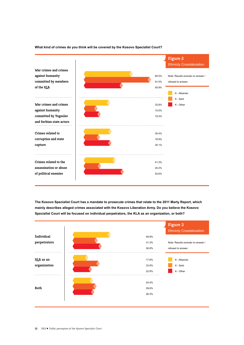

### **What kind of crimes do you think will be covered by the Kosovo Specialist Court?**

**The Kosovo Specialist Court has a mandate to prosecute crimes that relate to the 2011 Marty Report, which mainly describes alleged crimes associated with the Kosovo Liberation Army. Do you believe the Kosovo Specialist Court will be focused on individual perpetrators, the KLA as an organization, or both?**

|                           |                         | Figure 3<br><b>Ethnicity Crosstabulation</b> |
|---------------------------|-------------------------|----------------------------------------------|
| <i>individual</i>         | 49.9%                   |                                              |
| perpetrators              | 31.3%                   | Note: Results exclude no answer /            |
|                           | 36.8%                   | refused to answer.                           |
| KLA as an<br>organization | 17.8%<br>33.9%<br>22.8% | K - Albanian<br>K - Serb<br>K - Other        |
| Both                      | 24.4%<br>29.6%<br>26.3% |                                              |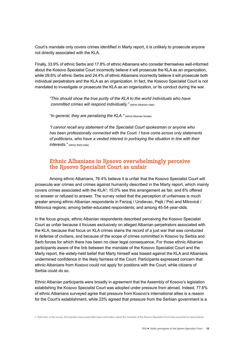Court's mandate only covers crimes identified in Marty report, it is unlikely to prosecute anyone not directly associated with the KLA.

Finally, 33.9% of ethnic Serbs and 17.8% of ethnic Albanians who consider themselves well-informed about the Kosovo Specialist Court incorrectly believe it will prosecute the KLA as an organization, while 29.6% of ethnic Serbs and 24.4% of ethnic Albanians incorrectly believe it will prosecute both individual perpetrators and the KLA as an organization. In fact, the Kosovo Specialist Court is not mandated to investigate or prosecute the KLA as an organization, or its conduct during the war.

*"This should show the true purity of the KLA to the world Individuals who have committed crimes will respond individually."* (ethnic Albanian male)

"In general, they are penalizing the KLA." (ethnic Albanian female)

*"I cannot recall any statement of the Specialist Court spokesman or anyone who has been professionally connected with the Court. I have come across only statements of politicians, who have a vested interest in portraying the situation in line with their interests."* (ethnic Serb male)

### **Ethnic Albanians in Kosovo overwhelmingly perceive the Kosovo Specialist Court as unfair**

Among ethnic Albanians, 76.4% believe it is unfair that the Kosovo Specialist Court will prosecute war crimes and crimes against humanity described in the Marty report, which mainly covers crimes associated with the KLA $3$ ; 15.0% see this arrangement as fair, and 6% offered no answer or refused to answer. The survey noted that the perception of unfairness is much greater among ethnic Albanian respondents in Ferizaj / Uroševac, Pejë / Peć and Mitrovicë / Mitrovica regions; among better-educated respondents; and among 45-54-year-olds.

In the focus groups, ethnic Albanian respondents described perceiving the Kosovo Specialist Court as unfair because it focuses exclusively on alleged Albanian perpetrators associated with the KLA, because that focus on KLA crimes stains the record of a just war that was conducted in defense of civilians, and because of the scope of crimes committed in Kosovo by Serbia and Serb forces for which there has been no clear legal consequence. For those ethnic Albanian participants aware of the link between the mandate of the Kosovo Specialist Court and the Marty report, the widely-held belief that Marty himself was biased against the KLA and Albanians undermined confidence in the likely fairness of the Court. Participants expressed concern that ethnic Albanians from Kosovo could not apply for positions with the Court, while citizens of Serbia could do so.

Ethnic Albanian participants were broadly in agreement that the Assembly of Kosovo's legislation establishing the Kosovo Specialist Court was adopted under pressure from abroad. Indeed, 77.6% of ethnic Albanians surveyed agree that pressure from Kosovo's international allies is a reason for the Court's establishment, while 23% agreed that pressure from the Serbian government is a

3 Note that, in the survey, this question was posed after basic information about the mandate of the Kosovo Specialist Court was presented to respondents.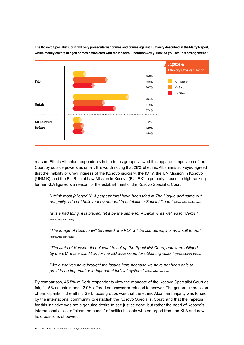

**The Kosovo Specialist Court will only prosecute war crimes and crimes against humanity described in the Marty Report, which mainly covers alleged crimes associated with the Kosovo Liberation Army. How do you see this arrangement?**

reason. Ethnic Albanian respondents in the focus groups viewed this apparent imposition of the Court by outside powers as unfair. It is worth noting that 28% of ethnic Albanians surveyed agreed that the inability or unwillingness of the Kosovo judiciary, the ICTY, the UN Mission in Kosovo (UNMIK), and the EU Rule of Law Mission in Kosovo (EULEX) to properly prosecute high-ranking former KLA figures is a reason for the establishment of the Kosovo Specialist Court.

*"I think most [alleged KLA perpetrators] have been tried in The Hague and came out* not guilty, I do not believe they needed to establish a Special Court." (ethnic Albanian female)

*"It is a bad thing, it is biased; let it be the same for Albanians as well as for Serbs."*  (ethnic Albanian male)

*"The image of Kosovo will be ruined, the KLA will be slandered, it is an insult to us."*  (ethnic Albanian male)

*"The state of Kosovo did not want to set up the Specialist Court, and were obliged*  by the EU. It is a condition for the EU accession, for obtaining visas." (ethnic Albanian female)

*"We ourselves have brought the issues here because we have not been able to provide an impartial or independent judicial system."* (ethnic Albanian male)

By comparison, 45.5% of Serb respondents view the mandate of the Kosovo Specialist Court as fair, 41.5% as unfair, and 12.9% offered no answer or refused to answer. The general impression of participants in the ethnic Serb focus groups was that the ethnic Albanian majority was forced by the international community to establish the Kosovo Specialist Court, and that the impetus for this initiative was not a genuine desire to see justice done, but rather the need of Kosovo's international allies to "clean the hands" of political clients who emerged from the KLA and now hold positions of power.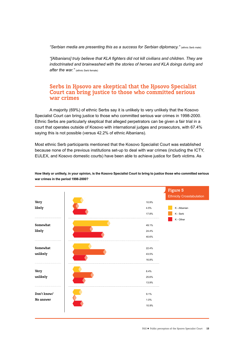*"Serbian media are presenting this as a success for Serbian diplomacy."* (ethnic Serb male)

*"[Albanians] truly believe that KLA fighters did not kill civilians and children. They are indoctrinated and brainwashed with the stories of heroes and KLA doings during and after the war."* (ethnic Serb female)

## **Serbs in Kosovo are skeptical that the Kosovo Specialist Court can bring justice to those who committed serious war crimes**

A majority (69%) of ethnic Serbs say it is unlikely to very unlikely that the Kosovo Specialist Court can bring justice to those who committed serious war crimes in 1998-2000. Ethnic Serbs are particularly skeptical that alleged perpetrators can be given a fair trial in a court that operates outside of Kosovo with international judges and prosecutors, with 67.4% saying this is not possible (versus 42.2% of ethnic Albanians).

Most ethnic Serb participants mentioned that the Kosovo Specialist Court was established because none of the previous institutions set-up to deal with war crimes (including the ICTY, EULEX, and Kosovo domestic courts) have been able to achieve justice for Serb victims. As



**How likely or unlikely, in your opinion, is the Kosovo Specialist Court to bring to justice those who committed serious war crimes in the period 1998-2000?**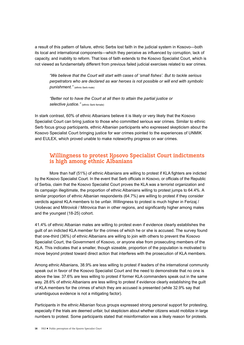a result of this pattern of failure, ethnic Serbs lost faith in the judicial system in Kosovo—both its local and international components—which they perceive as influenced by corruption, lack of capacity, and inability to reform. That loss of faith extends to the Kosovo Specialist Court, which is not viewed as fundamentally different from previous failed judicial exercises related to war crimes.

*"We believe that the Court will start with cases of 'small fishes'. But to tackle serious perpetrators who are declared as war heroes is not possible or will end with symbolic punishment."* (ethnic Serb male)

*"Better not to have the Court at all then to attain the partial justice or selective justice."* (ethnic Serb female)

In stark contrast, 60% of ethnic Albanians believe it is likely or very likely that the Kosovo Specialist Court can bring justice to those who committed serious war crimes. Similar to ethnic Serb focus group participants, ethnic Albanian participants who expressed skepticism about the Kosovo Specialist Court bringing justice for war crimes pointed to the experiences of UNMIK and EULEX, which proved unable to make noteworthy progress on war crimes.

## **Willingness to protest Kosovo Specialist Court indictments is high among ethnic Albanians**

More than half (51%) of ethnic Albanians are willing to protest if KLA fighters are indicted by the Kosovo Specialist Court. In the event that Serb officials in Kosovo, or officials of the Republic of Serbia, claim that the Kosovo Specialist Court proves the KLA was a terrorist organization and its campaign illegitimate, the proportion of ethnic Albanians willing to protest jumps to 64.4%. A similar proportion of ethnic Albanian respondents (64.7%) are willing to protest if they consider verdicts against KLA members to be unfair. Willingness to protest is much higher in Ferizaj / Uroševac and Mitrovicë / Mitrovica than in other regions, and significantly higher among males and the youngest (18-25) cohort.

41.4% of ethnic Albanian males are willing to protest even if evidence clearly establishes the guilt of an indicted KLA member for the crimes of which he or she is accused. The survey found that one-third (36%) of ethnic Albanians are willing to join with others to prevent the Kosovo Specialist Court, the Government of Kosovo, or anyone else from prosecuting members of the KLA. This indicates that a smaller, though sizeable, proportion of the population is motivated to move beyond protest toward direct action that interferes with the prosecution of KLA members.

Among ethnic Albanians, 38.9% are less willing to protest if leaders of the international community speak out in favor of the Kosovo Specialist Court and the need to demonstrate that no one is above the law. 37.6% are less willing to protest if former KLA commanders speak out in the same way. 28.6% of ethnic Albanians are less willing to protest if evidence clearly establishing the guilt of KLA members for the crimes of which they are accused is presented (while 32.9% say that unambiguous evidence is not a mitigating factor).

Participants in the ethnic Albanian focus groups expressed strong personal support for protesting, especially if the trials are deemed unfair, but skepticism about whether citizens would mobilize in large numbers to protest. Some participants stated that misinformation was a likely reason for protests.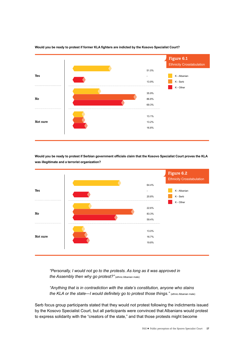

**Would you be ready to protest if former KLA fighters are indicted by the Kosovo Specialist Court?**

**Would you be ready to protest if Serbian government officials claim that the Kosovo Specialist Court proves the KLA was illegitimate and a terrorist organization?**



*"Personally, I would not go to the protests. As long as it was approved in the Assembly then why go protest?"* (ethnic Albanian male)

*"Anything that is in contradiction with the state's constitution, anyone who stains the KLA or the state—I would definitely go to protest those things.*" (ethnic Albanian male)

Serb focus group participants stated that they would not protest following the indictments issued by the Kosovo Specialist Court, but all participants were convinced that Albanians would protest to express solidarity with the "creators of the state," and that those protests might become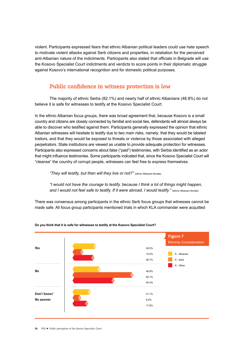violent. Participants expressed fears that ethnic Albanian political leaders could use hate speech to motivate violent attacks against Serb citizens and properties, in retaliation for the perceived anti-Albanian nature of the indictments. Participants also stated that officials in Belgrade will use the Kosovo Specialist Court indictments and verdicts to score points in their diplomatic struggle against Kosovo's international recognition and for domestic political purposes.

## **Public confidence in witness protection is low**

The majority of ethnic Serbs (82.1%) and nearly half of ethnic Albanians (48.8%) do not believe it is safe for witnesses to testify at the Kosovo Specialist Court.

In the ethnic Albanian focus groups, there was broad agreement that, because Kosovo is a small country and citizens are closely connected by familial and social ties, defendants will almost always be able to discover who testified against them. Participants generally expressed the opinion that ethnic Albanian witnesses will hesitate to testify due to two main risks, namely: that they would be labeled traitors, and that they would be exposed to threats or violence by those associated with alleged perpetrators. State institutions are viewed as unable to provide adequate protection for witnesses. Participants also expressed concerns about false ("paid") testimonies, with Serbia identified as an actor that might influence testimonies. Some participants indicated that, since the Kosovo Specialist Court will "cleanse" the country of corrupt people, witnesses can feel free to express themselves.

*"They will testify, but then will they live or not?"* (ethnic Albanian female)

*"I would not have the courage to testify, because I think a lot of things might happen,*  and I would not feel safe to testify. If it were abroad, I would testify." (ethnic Albanian female)

There was consensus among participants in the ethnic Serb focus groups that witnesses cannot be made safe. All focus group participants mentioned trials in which KLA commander were acquitted



#### **Do you think that it is safe for witnesses to testify at the Kosovo Specialist Court?**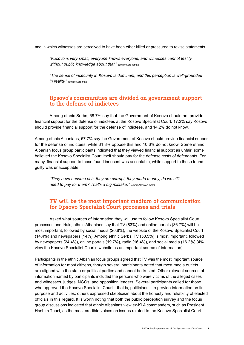and in which witnesses are perceived to have been ether killed or pressured to revise statements.

*"Kosovo is very small, everyone knows everyone, and witnesses cannot testify without public knowledge about that.*" (ethnic Serb female)

*"The sense of insecurity in Kosovo is dominant, and this perception is well-grounded in reality.*" (ethnic Serb male)

## **Kosovo's communities are divided on government support to the defense of indictees**

Among ethnic Serbs, 68.7% say that the Government of Kosovo should not provide financial support for the defense of indictees at the Kosovo Specialist Court. 17.2% say Kosovo should provide financial support for the defense of indictees, and 14.2% do not know.

Among ethnic Albanians, 57.7% say the Government of Kosovo should provide financial support for the defense of indictees, while 31.8% oppose this and 10.6% do not know. Some ethnic Albanian focus group participants indicated that they viewed financial support as unfair; some believed the Kosovo Specialist Court itself should pay for the defense costs of defendants. For many, financial support to those found innocent was acceptable, while support to those found guilty was unacceptable.

*"They have become rich, they are corrupt, they made money, do we still need to pay for them? That's a big mistake."* (ethnic Albanian male*)*

## **TV will be the most important medium of communication for Kosovo Specialist Court processes and trials**

Asked what sources of information they will use to follow Kosovo Specialist Court processes and trials, ethnic Albanians say that TV (83%) and online portals (36.7%) will be most important, followed by social media (20.8%), the website of the Kosovo Specialist Court (14.4%) and newspapers (14%). Among ethnic Serbs, TV (58.5%) is most important, followed by newspapers (24.4%), online portals (19.7%), radio (16.4%), and social media (16.2%) (4% view the Kosovo Specialist Court's website as an important source of information).

Participants in the ethnic Albanian focus groups agreed that TV was the most important source of information for most citizens, though several participants noted that most media outlets are aligned with the state or political parties and cannot be trusted. Other relevant sources of information named by participants included the persons who were victims of the alleged cases and witnesses, judges, NGOs, and opposition leaders. Several participants called for those who approved the Kosovo Specialist Court—that is, politicians—to provide information on its purpose and activities; others expressed skepticism about the honesty and reliability of elected officials in this regard. It is worth noting that both the public perception survey and the focus group discussions indicated that ethnic Albanians view ex-KLA commanders, such as President Hashim Thaci, as the most credible voices on issues related to the Kosovo Specialist Court.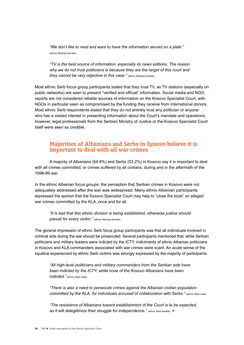*"We don't like to read and want to have the information served on a plate."*  (ethnic Albanian female)

*"TV is the best source of information, especially its news editions. The reason why we do not trust politicians is because they are the target of this court and they cannot be very objective in this case."* (ethnic Albanian female)

Most ethnic Serb focus group participants stated that they trust TV, as TV stations (especially on public networks) are seen to present "verified and official" information. Social media and NGO reports are not considered reliable sources of information on the Kosovo Specialist Court, with NGOs in particular seen as compromised by the funding they receive from international donors. Most ethnic Serb respondents stated that they do not entirely trust any politician or anyone who has a vested interest in presenting information about the Court's mandate and operations; however, legal professionals from the Serbian Ministry of Justice or the Kosovo Specialist Court itself were seen as credible.

## **Majorities of Albanians and Serbs in Kosovo believe it is important to deal with all war crimes**

A majority of Albanians (64.8%) and Serbs (53.2%) in Kosovo say it is important to deal with all crimes committed, or crimes suffered by all civilians, during and in the aftermath of the 1998-99 war.

In the ethnic Albanian focus groups, the perception that Serbian crimes in Kosovo were not adequately addressed after the war was widespread. Many ethnic Albanian participants expressed the opinion that the Kosovo Specialist Court may help to "close the book" on alleged war crimes committed by the KLA, once and for all.

*"It is bad that this ethnic division is being established, otherwise justice should prevail for every victim."* (ethnic Albanian female)

The general impression of ethnic Serb focus group participants was that all individuals involved in criminal acts during the war should be prosecuted. Several participants mentioned that, while Serbian politicians and military leaders were indicted by the ICTY, indictments of ethnic Albanian politicians in Kosovo and KLA commanders associated with war crimes were scant. An acute sense of the injustice experienced by ethnic Serb victims was strongly expressed by the majority of participants.

*"All high-level politicians and military commanders from the Serbian side have been indicted by the ICTY, while none of the Kosovo Albanians have been indicted."* (ethnic Serb male)

*"There is also a need to persecute crimes against the Albanian civilian population committed by the KLA, for individuals accused of collaboration with Serbs."* (ethnic Serb male)

*"The resistance of Albanians toward establishment of the Court is to be expected, as it will delegitimize their struggle for independence.*" (ethnic Serb female) ♦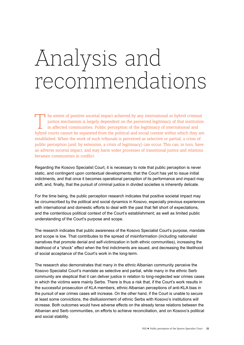## Analysis and recommendations

T he extent of positive societal impact achieved by any international or hybrid criminal<br>justice mechanism is largely dependent on the perceived legitimacy of that institution<br>in affected communities. Public perception of justice mechanism is largely dependent on the perceived legitimacy of that institution in affected communities. Public perception of the legitimacy of international and hybrid courts cannot be separated from the political and social context within which they are established. When the work of such tribunals is perceived as selective or partial, a crisis of public perception (and, by extension, a crisis of legitimacy) can occur. This can, in turn, have an adverse societal impact, and may harm wider processes of transitional justice and relations between communities in conflict.

Regarding the Kosovo Specialist Court, it is necessary to note that public perception is never static, and contingent upon contextual developments; that the Court has yet to issue initial indictments, and that once it becomes operational perception of its performance and impact may shift; and, finally, that the pursuit of criminal justice in divided societies is inherently delicate.

For the time being, the public perception research indicates that positive societal impact may be circumscribed by the political and social dynamics in Kosovo, especially previous experiences with international and domestic efforts to deal with the past that fell short of expectations, and the contentious political context of the Court's establishment; as well as limited public understanding of the Court's purpose and scope.

The research indicates that public awareness of the Kosovo Specialist Court's purpose, mandate and scope is low. That contributes to the spread of misinformation (including nationalist narratives that promote denial and self-victimization in both ethnic communities), increasing the likelihood of a "shock" effect when the first indictments are issued, and decreasing the likelihood of social acceptance of the Court's work in the long-term.

The research also demonstrates that many in the ethnic Albanian community perceive the Kosovo Specialist Court's mandate as selective and partial, while many in the ethnic Serb community are skeptical that it can deliver justice in relation to long-neglected war crimes cases in which the victims were mainly Serbs. There is thus a risk that, if the Court's work results in the successful prosecution of KLA members, ethnic Albanian perceptions of anti-KLA bias in the pursuit of war crimes cases will increase. On the other hand, if the Court is unable to secure at least some convictions, the disillusionment of ethnic Serbs with Kosovo's institutions will increase. Both outcomes would have adverse effects on the already tense relations between the Albanian and Serb communities, on efforts to achieve reconciliation, and on Kosovo's political and social stability.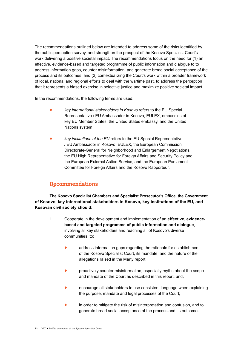The recommendations outlined below are intended to address some of the risks identified by the public perception survey, and strengthen the prospect of the Kosovo Specialist Court's work delivering a positive societal impact. The recommendations focus on the need for (1) an effective, evidence-based and targeted programme of public information and dialogue to to address information gaps, counter misinformation, and generate broad social acceptance of the process and its outcomes; and (2) contextualizing the Court's work within a broader framework of local, national and regional efforts to deal with the wartime past, to address the perception that it represents a biased exercise in selective justice and maximize positive societal impact.

In the recommendations, the following terms are used:

- ! *key international stakeholders in Kosovo* refers to the EU Special Representative / EU Ambassador in Kosovo, EULEX, embassies of key EU Member States, the United States embassy, and the United Nations system
- ! *key institutions of the EU* refers to the EU Special Representative / EU Ambassador in Kosovo, EULEX, the European Commission Directorate-General for Neighborhood and Enlargement Negotiations, the EU High Representative for Foreign Affairs and Security Policy and the European External Action Service, and the European Parliament Committee for Foreign Affairs and the Kosovo Rapporteur.

## **Recommendations**

**The Kosovo Specialist Chambers and Specialist Prosecutor's Office, the Government of Kosovo, key international stakeholders in Kosovo, key institutions of the EU, and Kosovan civil society should:**

- 1. Cooperate in the development and implementation of an **effective, evidence based and targeted programme of public information and dialogue**, involving all key stakeholders and reaching all of Kosovo's diverse communities, to:
	- address information gaps regarding the rationale for establishment of the Kosovo Specialist Court, its mandate, and the nature of the allegations raised in the Marty report;
	- proactively counter misinformation, especially myths about the scope and mandate of the Court as described in this report; and,
	- encourage all stakeholders to use consistent language when explaining the purpose, mandate and legal processes of the Court;
	- in order to mitigate the risk of misinterpretation and confusion, and to generate broad social acceptance of the process and its outcomes.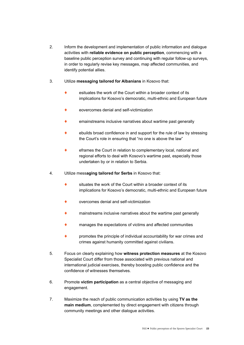- 2. Inform the development and implementation of public information and dialogue activities with **reliable evidence on public perception**, commencing with a baseline public perception survey and continuing with regular follow-up surveys, in order to regularly revise key messages, map affected communities, and identify potential allies.
- 3. Utilize **messaging tailored for Albanians** in Kosovo that:
	- $\bullet$  esituates the work of the Court within a broader context of its implications for Kosovo's democratic, multi-ethnic and European future
	- eovercomes denial and self-victimization
	- emainstreams inclusive narratives about wartime past generally
	- ebuilds broad confidence in and support for the rule of law by stressing the Court's role in ensuring that "no one is above the law"
	- $\bullet$  eframes the Court in relation to complementary local, national and regional efforts to deal with Kosovo's wartime past, especially those undertaken by or in relation to Serbia.
- 4. Utilize mess**aging tailored for Serbs** in Kosovo that:
	- $\bullet$  situates the work of the Court within a broader context of its implications for Kosovo's democratic, multi-ethnic and European future
	- overcomes denial and self-victimization
	- mainstreams inclusive narratives about the wartime past generally
	- manages the expectations of victims and affected communities
	- promotes the principle of individual accountability for war crimes and crimes against humanity committed against civilians.
- 5. Focus on clearly explaining how **witness protection measures** at the Kosovo Specialist Court differ from those associated with previous national and international judicial exercises, thereby boosting public confidence and the confidence of witnesses themselves.
- 6. Promote **victim participation** as a central objective of messaging and engagement.
- 7. Maximize the reach of public communication activities by using **TV as the main medium**, complemented by direct engagement with citizens through community meetings and other dialogue activities.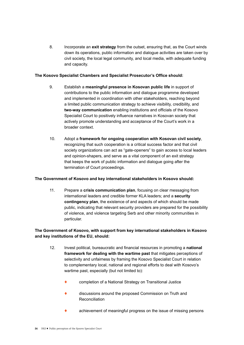8. Incorporate an **exit strategy** from the outset, ensuring that, as the Court winds down its operations, public information and dialogue activities are taken over by civil society, the local legal community, and local media, with adequate funding and capacity.

### **The Kosovo Specialist Chambers and Specialist Prosecutor's Office should:**

- 9. Establish a **meaningful presence in Kosovan public life** in support of contributions to the public information and dialogue programme developed and implemented in coordination with other stakeholders, reaching beyond a limited public communication strategy to achieve visibility, credibility, and **two-way communication** enabling institutions and officials of the Kosovo Specialist Court to positively influence narratives in Kosovan society that actively promote understanding and acceptance of the Court's work in a broader context.
- 10. Adopt a **framework for ongoing cooperation with Kosovan civil society**, recognizing that such cooperation is a critical success factor and that civil society organizations can act as "gate-openers" to gain access to local leaders and opinion-shapers, and serve as a vital component of an exit strategy that keeps the work of public information and dialogue going after the termination of Court proceedings.

#### **The Government of Kosovo and key international stakeholders in Kosovo should:**

11. Prepare a **crisis communication plan**, focusing on clear messaging from international leaders and credible former KLA leaders; and a **security contingency plan**, the existence of and aspects of which should be made public, indicating that relevant security providers are prepared for the possibility of violence, and violence targeting Serb and other minority communities in particular.

### **The Government of Kosovo, with support from key international stakeholders in Kosovo and key institutions of the EU, should:**

- 12. Invest political, bureaucratic and financial resources in promoting a **national framework for dealing with the wartime past** that mitigates perceptions of selectivity and unfairness by framing the Kosovo Specialist Court in relation to complementary local, national and regional efforts to deal with Kosovo's wartime past, especially (but not limited to):
	- completion of a National Strategy on Transitional Justice
	- discussions around the proposed Commission on Truth and Reconciliation
	- achievement of meaningful progress on the issue of missing persons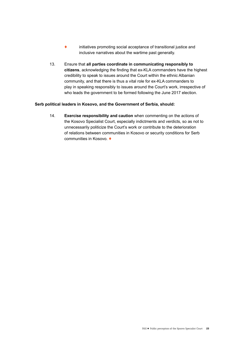- ! initiatives promoting social acceptance of transitional justice and inclusive narratives about the wartime past generally.
- 13. Ensure that **all parties coordinate in communicating responsibly to citizens**, acknowledging the finding that ex-KLA commanders have the highest credibility to speak to issues around the Court within the ethnic Albanian community, and that there is thus a vital role for ex-KLA commanders to play in speaking responsibly to issues around the Court's work, irrespective of who leads the government to be formed following the June 2017 election.

#### **Serb political leaders in Kosovo, and the Government of Serbia, should:**

14. **Exercise responsibility and caution** when commenting on the actions of the Kosovo Specialist Court, especially indictments and verdicts, so as not to unnecessarily politicize the Court's work or contribute to the deterioration of relations between communities in Kosovo or security conditions for Serb communities in Kosovo.  $\blacklozenge$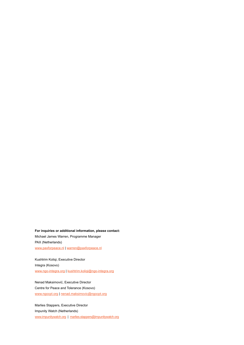**For inquiries or additional information, please contact:** Michael James Warren, Programme Manager PAX (Netherlands) [www.paxforpeace.nl](http://www.paxforpeace.nl) | [warren@paxforpeace.nl](mailto:warren@paxforpeace.nl)

Kushtrim Koliqi, Executive Director Integra (Kosovo) [www.ngo-integra.org](http://www.ngo-integra.org) | [kushtrim.koliqi@ngo-integra.org](mailto:kushtrim.koliqi@ngo-integra.org)

Nenad Maksimović, Executive Director Centre for Peace and Tolerance (Kosovo) [www.ngocpt.org](http://www.ngocpt.org) | [nenad.maksimovic@ngocpt.org](mailto:nenad.maksimovic@ngocpt.org)

Marlies Stappers, Executive Director Impunity Watch (Netherlands) [www.impunitywatch.org](http://www.impunitywatch.org) | [marlies.stappers@impunitywatch.org](mailto:info@impunitywatch.org)